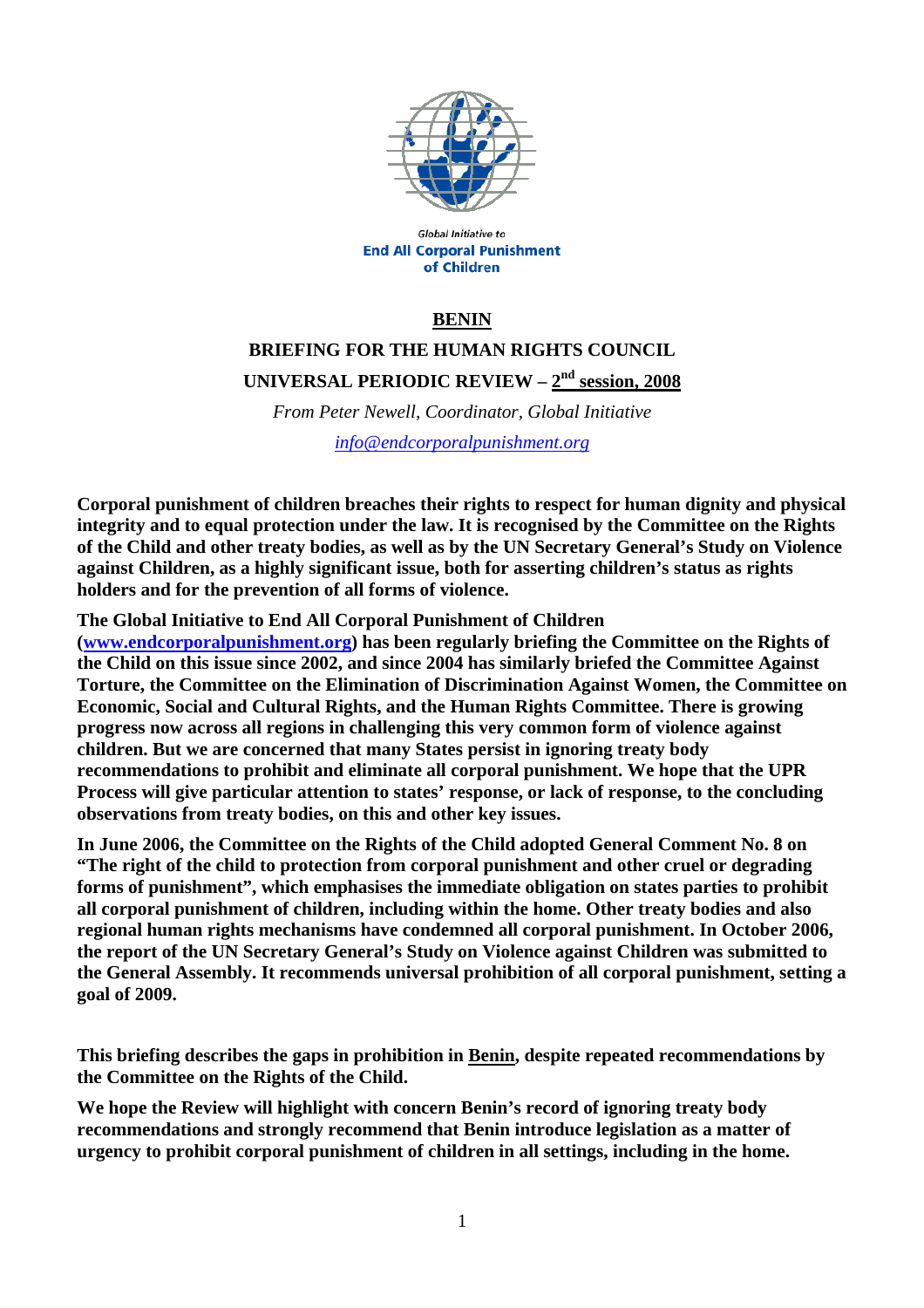

**Global Initiative to End All Corporal Punishment** of Children

### **BENIN**

# **BRIEFING FOR THE HUMAN RIGHTS COUNCIL UNIVERSAL PERIODIC REVIEW – 2nd session, 2008**

*From Peter Newell, Coordinator, Global Initiative info@endcorporalpunishment.org*

**Corporal punishment of children breaches their rights to respect for human dignity and physical integrity and to equal protection under the law. It is recognised by the Committee on the Rights of the Child and other treaty bodies, as well as by the UN Secretary General's Study on Violence against Children, as a highly significant issue, both for asserting children's status as rights holders and for the prevention of all forms of violence.** 

**The Global Initiative to End All Corporal Punishment of Children** 

**(www.endcorporalpunishment.org) has been regularly briefing the Committee on the Rights of the Child on this issue since 2002, and since 2004 has similarly briefed the Committee Against Torture, the Committee on the Elimination of Discrimination Against Women, the Committee on Economic, Social and Cultural Rights, and the Human Rights Committee. There is growing progress now across all regions in challenging this very common form of violence against children. But we are concerned that many States persist in ignoring treaty body recommendations to prohibit and eliminate all corporal punishment. We hope that the UPR Process will give particular attention to states' response, or lack of response, to the concluding observations from treaty bodies, on this and other key issues.** 

**In June 2006, the Committee on the Rights of the Child adopted General Comment No. 8 on "The right of the child to protection from corporal punishment and other cruel or degrading forms of punishment", which emphasises the immediate obligation on states parties to prohibit all corporal punishment of children, including within the home. Other treaty bodies and also regional human rights mechanisms have condemned all corporal punishment. In October 2006, the report of the UN Secretary General's Study on Violence against Children was submitted to the General Assembly. It recommends universal prohibition of all corporal punishment, setting a goal of 2009.** 

**This briefing describes the gaps in prohibition in Benin, despite repeated recommendations by the Committee on the Rights of the Child.** 

**We hope the Review will highlight with concern Benin's record of ignoring treaty body recommendations and strongly recommend that Benin introduce legislation as a matter of urgency to prohibit corporal punishment of children in all settings, including in the home.**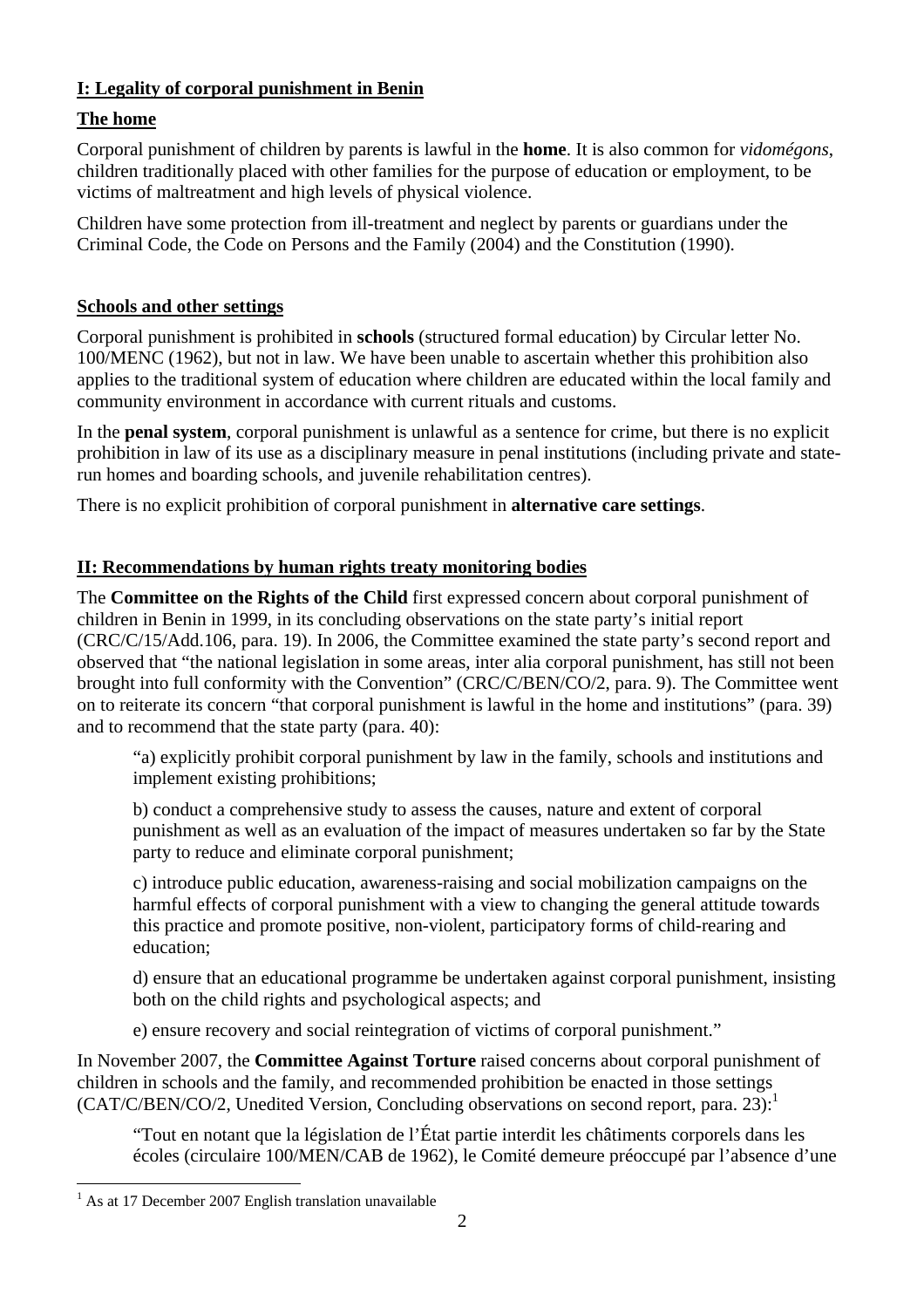## **I: Legality of corporal punishment in Benin**

# **The home**

Corporal punishment of children by parents is lawful in the **home**. It is also common for *vidomégons*, children traditionally placed with other families for the purpose of education or employment, to be victims of maltreatment and high levels of physical violence.

Children have some protection from ill-treatment and neglect by parents or guardians under the Criminal Code, the Code on Persons and the Family (2004) and the Constitution (1990).

### **Schools and other settings**

Corporal punishment is prohibited in **schools** (structured formal education) by Circular letter No. 100/MENC (1962), but not in law. We have been unable to ascertain whether this prohibition also applies to the traditional system of education where children are educated within the local family and community environment in accordance with current rituals and customs.

In the **penal system**, corporal punishment is unlawful as a sentence for crime, but there is no explicit prohibition in law of its use as a disciplinary measure in penal institutions (including private and staterun homes and boarding schools, and juvenile rehabilitation centres).

There is no explicit prohibition of corporal punishment in **alternative care settings**.

## **II: Recommendations by human rights treaty monitoring bodies**

The **Committee on the Rights of the Child** first expressed concern about corporal punishment of children in Benin in 1999, in its concluding observations on the state party's initial report (CRC/C/15/Add.106, para. 19). In 2006, the Committee examined the state party's second report and observed that "the national legislation in some areas, inter alia corporal punishment, has still not been brought into full conformity with the Convention" (CRC/C/BEN/CO/2, para. 9). The Committee went on to reiterate its concern "that corporal punishment is lawful in the home and institutions" (para. 39) and to recommend that the state party (para. 40):

"a) explicitly prohibit corporal punishment by law in the family, schools and institutions and implement existing prohibitions;

b) conduct a comprehensive study to assess the causes, nature and extent of corporal punishment as well as an evaluation of the impact of measures undertaken so far by the State party to reduce and eliminate corporal punishment;

c) introduce public education, awareness-raising and social mobilization campaigns on the harmful effects of corporal punishment with a view to changing the general attitude towards this practice and promote positive, non-violent, participatory forms of child-rearing and education;

d) ensure that an educational programme be undertaken against corporal punishment, insisting both on the child rights and psychological aspects; and

e) ensure recovery and social reintegration of victims of corporal punishment."

In November 2007, the **Committee Against Torture** raised concerns about corporal punishment of children in schools and the family, and recommended prohibition be enacted in those settings  $(CAT/C/BEN/CO/2,$  Unedited Version, Concluding observations on second report, para. 23):

"Tout en notant que la législation de l'État partie interdit les châtiments corporels dans les écoles (circulaire 100/MEN/CAB de 1962), le Comité demeure préoccupé par l'absence d'une

 $\overline{a}$ 

<sup>&</sup>lt;sup>1</sup> As at 17 December 2007 English translation unavailable